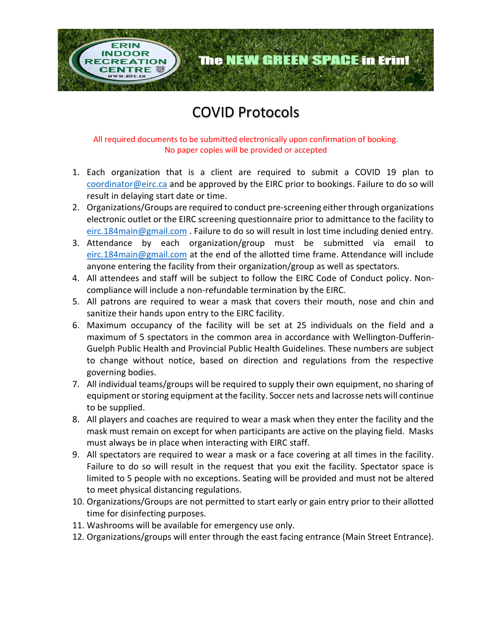## COVID Protocols

**EATION** 

The NEW GREEN SPACE in Erin!

All required documents to be submitted electronically upon confirmation of booking. No paper copies will be provided or accepted

- 1. Each organization that is a client are required to submit a COVID 19 plan to [coordinator@eirc.ca](mailto:coordinator@eirc.ca) and be approved by the EIRC prior to bookings. Failure to do so will result in delaying start date or time.
- 2. Organizations/Groups are required to conduct pre-screening either through organizations electronic outlet or the EIRC screening questionnaire prior to admittance to the facility to [eirc.184main@gmail.com](mailto:eirc.184main@gmail.com) . Failure to do so will result in lost time including denied entry.
- 3. Attendance by each organization/group must be submitted via email to [eirc.184main@gmail.com](mailto:eirc.184main@gmail.com) at the end of the allotted time frame. Attendance will include anyone entering the facility from their organization/group as well as spectators.
- 4. All attendees and staff will be subject to follow the EIRC Code of Conduct policy. Noncompliance will include a non-refundable termination by the EIRC.
- 5. All patrons are required to wear a mask that covers their mouth, nose and chin and sanitize their hands upon entry to the EIRC facility.
- 6. Maximum occupancy of the facility will be set at 25 individuals on the field and a maximum of 5 spectators in the common area in accordance with Wellington-Dufferin-Guelph Public Health and Provincial Public Health Guidelines. These numbers are subject to change without notice, based on direction and regulations from the respective governing bodies.
- 7. All individual teams/groups will be required to supply their own equipment, no sharing of equipment or storing equipment at the facility. Soccer nets and lacrosse nets will continue to be supplied.
- 8. All players and coaches are required to wear a mask when they enter the facility and the mask must remain on except for when participants are active on the playing field. Masks must always be in place when interacting with EIRC staff.
- 9. All spectators are required to wear a mask or a face covering at all times in the facility. Failure to do so will result in the request that you exit the facility. Spectator space is limited to 5 people with no exceptions. Seating will be provided and must not be altered to meet physical distancing regulations.
- 10. Organizations/Groups are not permitted to start early or gain entry prior to their allotted time for disinfecting purposes.
- 11. Washrooms will be available for emergency use only.
- 12. Organizations/groups will enter through the east facing entrance (Main Street Entrance).